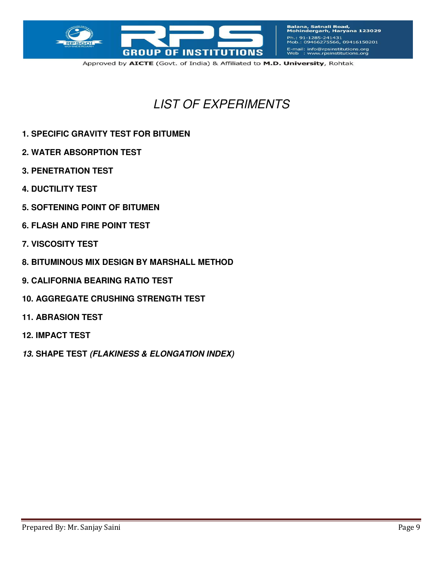

Balana, Satnali Road,<br>Mohindergarh, Haryana 123029 Ph.: 91-1285-241431<br>Mob.: 09466275566, 09416150201 E-mail: info@rpsinstitutions.org<br>Web : www.rpsinstitutions.org

Approved by AICTE (Govt. of India) & Affiliated to M.D. University, Rohtak

# *LIST OF EXPERIMENTS*

- **1. SPECIFIC GRAVITY TEST FOR BITUMEN**
- **2. WATER ABSORPTION TEST**
- **3. PENETRATION TEST**
- **4. DUCTILITY TEST**
- **5. SOFTENING POINT OF BITUMEN**
- **6. FLASH AND FIRE POINT TEST**
- **7. VISCOSITY TEST**
- **8. BITUMINOUS MIX DESIGN BY MARSHALL METHOD**
- **9. CALIFORNIA BEARING RATIO TEST**
- **10. AGGREGATE CRUSHING STRENGTH TEST**
- **11. ABRASION TEST**
- **12. IMPACT TEST**
- *13.* **SHAPE TEST** *(FLAKINESS & ELONGATION INDEX)*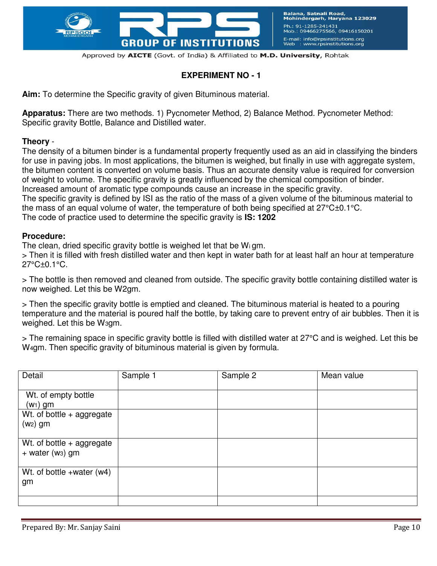

### **EXPERIMENT NO - 1**

**Aim:** To determine the Specific gravity of given Bituminous material.

**Apparatus:** There are two methods. 1) Pycnometer Method, 2) Balance Method. Pycnometer Method: Specific gravity Bottle, Balance and Distilled water.

#### **Theory** -

The density of a bitumen binder is a fundamental property frequently used as an aid in classifying the binders for use in paving jobs. In most applications, the bitumen is weighed, but finally in use with aggregate system, the bitumen content is converted on volume basis. Thus an accurate density value is required for conversion of weight to volume. The specific gravity is greatly influenced by the chemical composition of binder. Increased amount of aromatic type compounds cause an increase in the specific gravity.

The specific gravity is defined by ISI as the ratio of the mass of a given volume of the bituminous material to the mass of an equal volume of water, the temperature of both being specified at 27°C±0.1°C.

The code of practice used to determine the specific gravity is **IS: 1202** 

#### **Procedure:**

The clean, dried specific gravity bottle is weighed let that be Wi gm.

> Then it is filled with fresh distilled water and then kept in water bath for at least half an hour at temperature 27°C±0.1°C.

> The bottle is then removed and cleaned from outside. The specific gravity bottle containing distilled water is now weighed. Let this be W2gm.

> Then the specific gravity bottle is emptied and cleaned. The bituminous material is heated to a pouring temperature and the material is poured half the bottle, by taking care to prevent entry of air bubbles. Then it is weighed. Let this be W3gm.

> The remaining space in specific gravity bottle is filled with distilled water at 27°C and is weighed. Let this be W4gm. Then specific gravity of bituminous material is given by formula.

| Detail                                                      | Sample 1 | Sample 2 | Mean value |
|-------------------------------------------------------------|----------|----------|------------|
| Wt. of empty bottle<br>$(w_1)$ gm                           |          |          |            |
| Wt. of bottle + aggregate<br>$(w2)$ gm                      |          |          |            |
| Wt. of bottle + aggregate<br>$+$ water (w <sub>3</sub> ) gm |          |          |            |
| Wt. of bottle +water $(w4)$<br>gm                           |          |          |            |
|                                                             |          |          |            |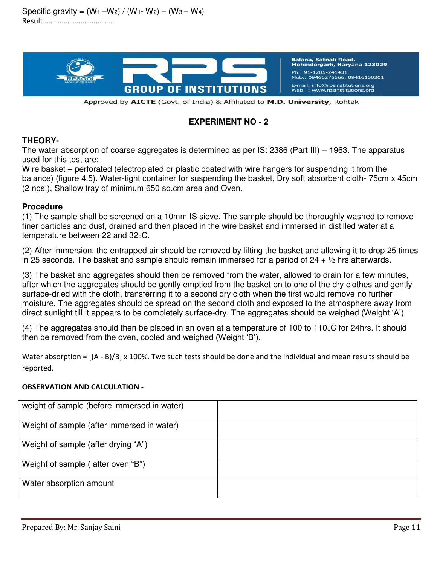Specific gravity =  $(W_1-W_2) / (W_1-W_2) - (W_3-W_4)$ Result ………………………………



Balana, Satnali Road,<br>Mohindergarh, Haryana 123029 Ph.: 91-1285-241431 Mob.: 09466275566, 09416150201 E-mail: info@rpsinstitutions.org : www.rpsinstitutions.org

Approved by AICTE (Govt. of India) & Affiliated to M.D. University, Rohtak

### **EXPERIMENT NO - 2**

### **THEORY-**

The water absorption of coarse aggregates is determined as per IS: 2386 (Part III) – 1963. The apparatus used for this test are:-

Wire basket – perforated (electroplated or plastic coated with wire hangers for suspending it from the balance) (figure 4.5). Water-tight container for suspending the basket, Dry soft absorbent cloth- 75cm x 45cm (2 nos.), Shallow tray of minimum 650 sq.cm area and Oven.

### **Procedure**

(1) The sample shall be screened on a 10mm IS sieve. The sample should be thoroughly washed to remove finer particles and dust, drained and then placed in the wire basket and immersed in distilled water at a temperature between 22 and 32oC.

(2) After immersion, the entrapped air should be removed by lifting the basket and allowing it to drop 25 times in 25 seconds. The basket and sample should remain immersed for a period of  $24 + \frac{1}{2}$  hrs afterwards.

(3) The basket and aggregates should then be removed from the water, allowed to drain for a few minutes, after which the aggregates should be gently emptied from the basket on to one of the dry clothes and gently surface-dried with the cloth, transferring it to a second dry cloth when the first would remove no further moisture. The aggregates should be spread on the second cloth and exposed to the atmosphere away from direct sunlight till it appears to be completely surface-dry. The aggregates should be weighed (Weight 'A').

(4) The aggregates should then be placed in an oven at a temperature of 100 to 110oC for 24hrs. It should then be removed from the oven, cooled and weighed (Weight 'B').

Water absorption =  $[(A - B)/B] \times 100\%$ . Two such tests should be done and the individual and mean results should be reported.

### **OBSERVATION AND CALCULATION** -

| weight of sample (before immersed in water) |  |
|---------------------------------------------|--|
| Weight of sample (after immersed in water)  |  |
| Weight of sample (after drying "A")         |  |
| Weight of sample (after oven "B")           |  |
| Water absorption amount                     |  |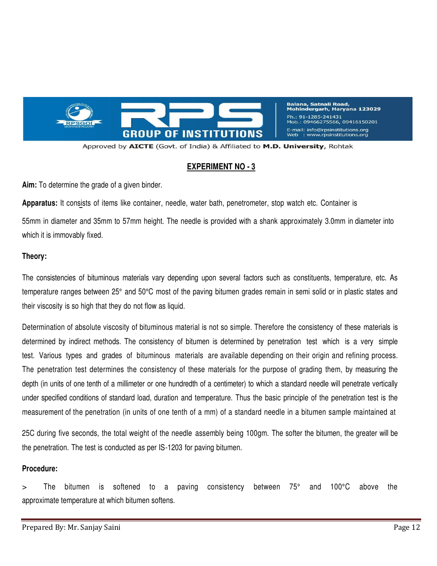

**Balana, Satnali Road,** Mohindergarh, Haryana 123029 Ph.: 91-1285-241431 Mob.: 09466275566, 09416150201 E-mail: info@rpsinstitutions.org Web : www.rpsinstitutions.org

Approved by AICTE (Govt. of India) & Affiliated to M.D. University, Rohtak

#### **EXPERIMENT NO - 3**

**Aim:** To determine the grade of a given binder.

**Apparatus:** It consists of items like container, needle, water bath, penetrometer, stop watch etc. Container is 55mm in diameter and 35mm to 57mm height. The needle is provided with a shank approximately 3.0mm in diameter into which it is immovably fixed.

#### **Theory:**

The consistencies of bituminous materials vary depending upon several factors such as constituents, temperature, etc. As temperature ranges between 25° and 50°C most of the paving bitumen grades remain in semi solid or in plastic states and their viscosity is so high that they do not flow as liquid.

Determination of absolute viscosity of bituminous material is not so simple. Therefore the consistency of these materials is determined by indirect methods. The consistency of bitumen is determined by penetration test which is a very simple test. Various types and grades of bituminous materials are available depending on their origin and refining process. The penetration test determines the consistency of these materials for the purpose of grading them, by measuring the depth (in units of one tenth of a millimeter or one hundredth of a centimeter) to which a standard needle will penetrate vertically under specified conditions of standard load, duration and temperature. Thus the basic principle of the penetration test is the measurement of the penetration (in units of one tenth of a mm) of a standard needle in a bitumen sample maintained at

25C during five seconds, the total weight of the needle assembly being 100gm. The softer the bitumen, the greater will be the penetration. The test is conducted as per IS-1203 for paving bitumen.

#### **Procedure:**

> The bitumen is softened to a paving consistency between 75° and 100°C above the approximate temperature at which bitumen softens.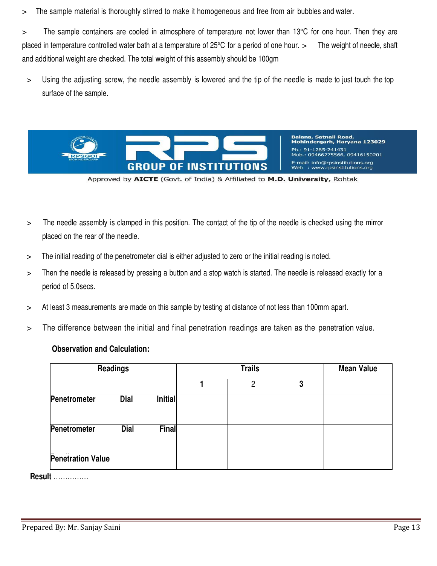> The sample material is thoroughly stirred to make it homogeneous and free from air bubbles and water.

> The sample containers are cooled in atmosphere of temperature not lower than 13°C for one hour. Then they are placed in temperature controlled water bath at a temperature of 25°C for a period of one hour. > The weight of needle, shaft and additional weight are checked. The total weight of this assembly should be 100gm

> Using the adjusting screw, the needle assembly is lowered and the tip of the needle is made to just touch the top surface of the sample.



Balana, Satnali Road,<br>Mohindergarh, Haryana 123029 Ph.: 91-1285-241431 Mob.: 09466275566, 09416150201 E-mail: info@rpsinstitutions.org Web : www.rpsinstitutions.org

Approved by AICTE (Govt. of India) & Affiliated to M.D. University, Rohtak

- > The needle assembly is clamped in this position. The contact of the tip of the needle is checked using the mirror placed on the rear of the needle.
- > The initial reading of the penetrometer dial is either adjusted to zero or the initial reading is noted.
- > Then the needle is released by pressing a button and a stop watch is started. The needle is released exactly for a period of 5.0secs.
- > At least 3 measurements are made on this sample by testing at distance of not less than 100mm apart.
- > The difference between the initial and final penetration readings are taken as the penetration value.

### **Observation and Calculation:**

| <b>Readings</b>          |             |         |  | <b>Mean Value</b> |   |  |
|--------------------------|-------------|---------|--|-------------------|---|--|
|                          |             |         |  | 2                 | 3 |  |
| Penetrometer             | <b>Dial</b> | Initial |  |                   |   |  |
| Penetrometer             | <b>Dial</b> | Final   |  |                   |   |  |
| <b>Penetration Value</b> |             |         |  |                   |   |  |

**Result** ……………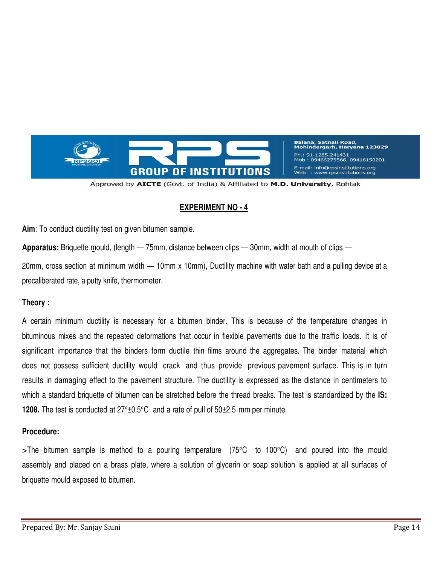

Balana, Satnali Road,<br>Mohindergarh, Haryana 123029 Ph.: 91-1285-241431 466275566, 09416150201 E-mail: info@rpsinstitutions.org www.rpsinstitutions.org

Approved by AICTE (Govt. of India) & Affiliated to M.D. University, Rohtak

# **EXPERIMENT NO - 4**

**Aim**: To conduct ductility test on given bitumen sample.

**Apparatus:** Briquette mould, (length — 75mm, distance between clips — 30mm, width at mouth of clips —

20mm, cross section at minimum width — 10mm x 10mm), Ductility machine with water bath and a pulling device at a precaliberated rate, a putty knife, thermometer.

### **Theory :**

A certain minimum ductility is necessary for a bitumen binder. This is because of the temperature changes in bituminous mixes and the repeated deformations that occur in flexible pavements due to the traffic loads. It is of significant importance that the binders form ductile thin films around the aggregates. The binder material which does not possess sufficient ductility would crack and thus provide previous pavement surface. This is in turn results in damaging effect to the pavement structure. The ductility is expressed as the distance in centimeters to which a standard briquette of bitumen can be stretched before the thread breaks. The test is standardized by the **IS: 1208.** The test is conducted at 27°±0.5°C and a rate of pull of 50±2.5 mm per minute.

### **Procedure:**

>The bitumen sample is method to a pouring temperature (75°C to 100°C) and poured into the mould assembly and placed on a brass plate, where a solution of glycerin or soap solution is applied at all surfaces of briquette mould exposed to bitumen.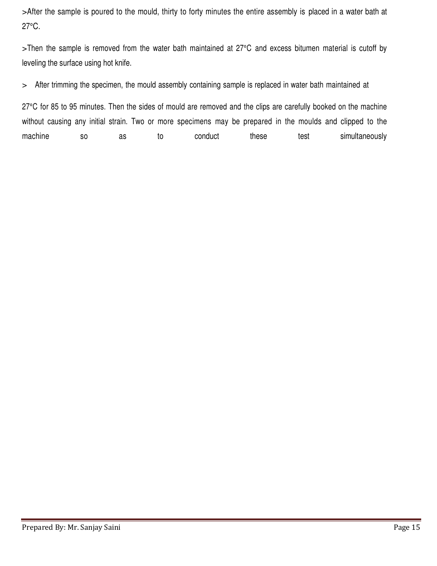>After the sample is poured to the mould, thirty to forty minutes the entire assembly is placed in a water bath at 27°C.

>Then the sample is removed from the water bath maintained at 27°C and excess bitumen material is cutoff by leveling the surface using hot knife.

> After trimming the specimen, the mould assembly containing sample is replaced in water bath maintained at

27°C for 85 to 95 minutes. Then the sides of mould are removed and the clips are carefully booked on the machine without causing any initial strain. Two or more specimens may be prepared in the moulds and clipped to the machine so as to conduct these test simultaneously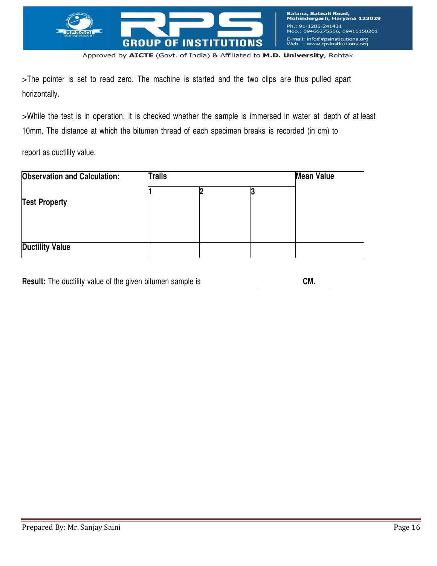

>The pointer is set to read zero. The machine is started and the two clips are thus pulled apart horizontally.

>While the test is in operation, it is checked whether the sample is immersed in water at depth of at least 10mm. The distance at which the bitumen thread of each specimen breaks is recorded (in cm) to

report as ductility value.

| <b>Observation and Calculation:</b> | <b>Trails</b> |  | <b>Mean Value</b> |  |
|-------------------------------------|---------------|--|-------------------|--|
| <b>Test Property</b>                |               |  |                   |  |
| <b>Ductility Value</b>              |               |  |                   |  |

|  | <b>Result:</b> The ductility value of the given bitumen sample is | CM. |
|--|-------------------------------------------------------------------|-----|
|--|-------------------------------------------------------------------|-----|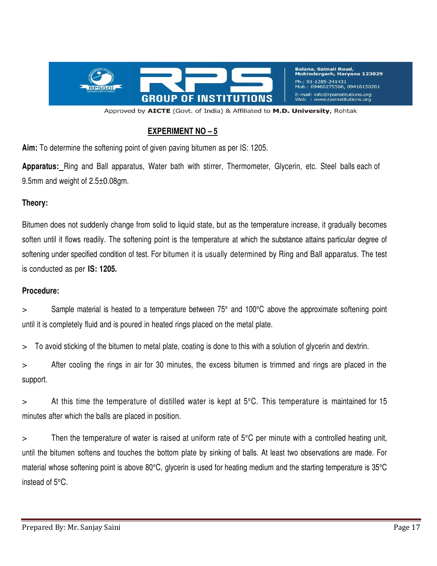

Balana, Satnali Road,<br>Mohindergarh, Haryana 123029 Ph.: 91-1285-241431 Mob.: 09466275566, 09416150201 E-mail: info@rpsinstitutions.org : www.rpsinstitutions.org

Approved by AICTE (Govt. of India) & Affiliated to M.D. University, Rohtak

# **EXPERIMENT NO – 5**

**Aim:** To determine the softening point of given paving bitumen as per IS: 1205.

**Apparatus:** Ring and Ball apparatus, Water bath with stirrer, Thermometer, Glycerin, etc. Steel balls each of 9.5mm and weight of 2.5±0.08gm.

### **Theory:**

Bitumen does not suddenly change from solid to liquid state, but as the temperature increase, it gradually becomes soften until it flows readily. The softening point is the temperature at which the substance attains particular degree of softening under specified condition of test. For bitumen it is usually determined by Ring and Ball apparatus. The test is conducted as per **IS: 1205.**

### **Procedure:**

 $>$  Sample material is heated to a temperature between 75 $^{\circ}$  and 100 $^{\circ}$ C above the approximate softening point until it is completely fluid and is poured in heated rings placed on the metal plate.

> To avoid sticking of the bitumen to metal plate, coating is done to this with a solution of glycerin and dextrin.

> After cooling the rings in air for 30 minutes, the excess bitumen is trimmed and rings are placed in the support.

> At this time the temperature of distilled water is kept at 5°C. This temperature is maintained for 15 minutes after which the balls are placed in position.

> Then the temperature of water is raised at uniform rate of 5°C per minute with a controlled heating unit, until the bitumen softens and touches the bottom plate by sinking of balls. At least two observations are made. For material whose softening point is above 80°C, glycerin is used for heating medium and the starting temperature is 35°C instead of 5°C.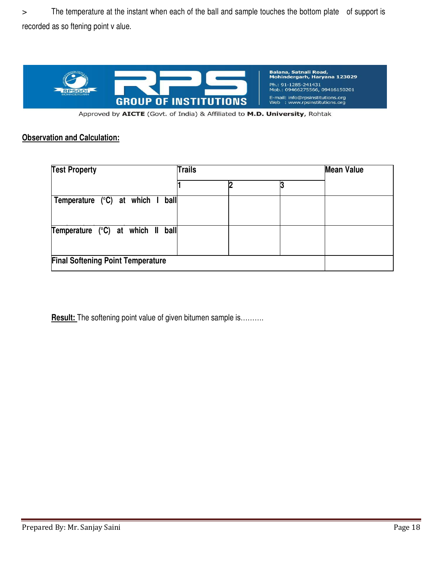> The temperature at the instant when each of the ball and sample touches the bottom plate of support is recorded as so ftening point v alue.



Approved by AICTE (Govt. of India) & Affiliated to M.D. University, Rohtak

### **Observation and Calculation:**

| <b>Test Property</b>                         | <b>Trails</b> | <b>Mean Value</b> |  |  |
|----------------------------------------------|---------------|-------------------|--|--|
|                                              |               |                   |  |  |
| Temperature $(^{\circ}C)$ at which I<br>ball |               |                   |  |  |
| Temperature (°C) at which II ball            |               |                   |  |  |
| <b>Final Softening Point Temperature</b>     |               |                   |  |  |

**Result:** The softening point value of given bitumen sample is……….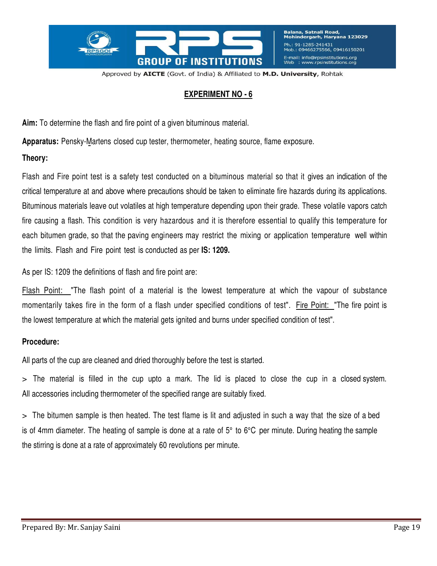

# **EXPERIMENT NO - 6**

**Aim:** To determine the flash and fire point of a given bituminous material.

**Apparatus:** Pensky-Martens closed cup tester, thermometer, heating source, flame exposure.

### **Theory:**

Flash and Fire point test is a safety test conducted on a bituminous material so that it gives an indication of the critical temperature at and above where precautions should be taken to eliminate fire hazards during its applications. Bituminous materials leave out volatiles at high temperature depending upon their grade. These volatile vapors catch fire causing a flash. This condition is very hazardous and it is therefore essential to qualify this temperature for each bitumen grade, so that the paving engineers may restrict the mixing or application temperature well within the limits. Flash and Fire point test is conducted as per **IS: 1209.**

As per IS: 1209 the definitions of flash and fire point are:

Flash Point: "The flash point of a material is the lowest temperature at which the vapour of substance momentarily takes fire in the form of a flash under specified conditions of test". Fire Point: "The fire point is the lowest temperature at which the material gets ignited and burns under specified condition of test".

# **Procedure:**

All parts of the cup are cleaned and dried thoroughly before the test is started.

> The material is filled in the cup upto a mark. The lid is placed to close the cup in a closed system. All accessories including thermometer of the specified range are suitably fixed.

> The bitumen sample is then heated. The test flame is lit and adjusted in such a way that the size of a bed is of 4mm diameter. The heating of sample is done at a rate of  $5^{\circ}$  to  $6^{\circ}$ C per minute. During heating the sample the stirring is done at a rate of approximately 60 revolutions per minute.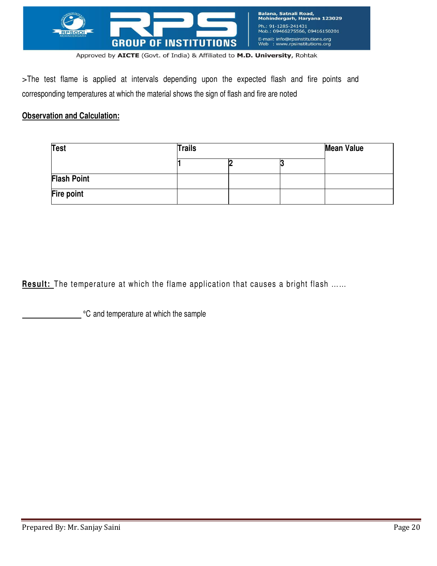

>The test flame is applied at intervals depending upon the expected flash and fire points and corresponding temperatures at which the material shows the sign of flash and fire are noted

# **Observation and Calculation:**

| <b>Test</b>        | <b>Trails</b> | <b>Mean Value</b> |  |
|--------------------|---------------|-------------------|--|
|                    |               | N                 |  |
| <b>Flash Point</b> |               |                   |  |
| Fire point         |               |                   |  |

**Result:** The temperature at which the flame application that causes a bright flash ......

°C and temperature at which the sample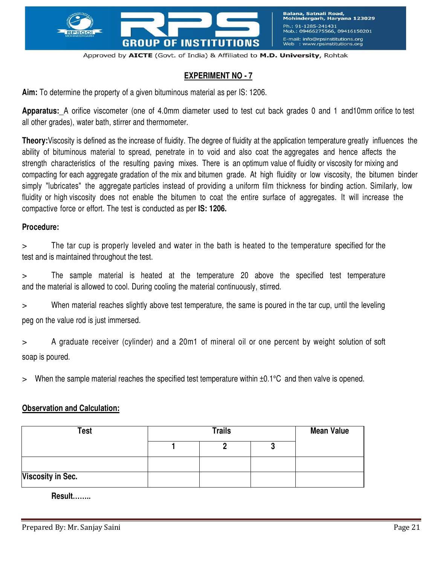

# **EXPERIMENT NO - 7**

**Aim:** To determine the property of a given bituminous material as per IS: 1206.

**Apparatus:** A orifice viscometer (one of 4.0mm diameter used to test cut back grades 0 and 1 and10mm orifice to test all other grades), water bath, stirrer and thermometer.

**Theory:**Viscosity is defined as the increase of fluidity. The degree of fluidity at the application temperature greatly influences the ability of bituminous material to spread, penetrate in to void and also coat the aggregates and hence affects the strength characteristics of the resulting paving mixes. There is an optimum value of fluidity or viscosity for mixing and compacting for each aggregate gradation of the mix and bitumen grade. At high fluidity or low viscosity, the bitumen binder simply "lubricates" the aggregate particles instead of providing a uniform film thickness for binding action. Similarly, low fluidity or high viscosity does not enable the bitumen to coat the entire surface of aggregates. It will increase the compactive force or effort. The test is conducted as per **IS: 1206.**

#### **Procedure:**

> The tar cup is properly leveled and water in the bath is heated to the temperature specified for the test and is maintained throughout the test.

> The sample material is heated at the temperature 20 above the specified test temperature and the material is allowed to cool. During cooling the material continuously, stirred.

> When material reaches slightly above test temperature, the same is poured in the tar cup, until the leveling peg on the value rod is just immersed.

> A graduate receiver (cylinder) and a 20m1 of mineral oil or one percent by weight solution of soft soap is poured.

 $>$  When the sample material reaches the specified test temperature within  $\pm 0.1^{\circ}$ C and then valve is opened.

### **Observation and Calculation:**

| Test                     | <b>Trails</b> |  |  | <b>Mean Value</b> |  |
|--------------------------|---------------|--|--|-------------------|--|
|                          |               |  |  |                   |  |
|                          |               |  |  |                   |  |
| <b>Viscosity in Sec.</b> |               |  |  |                   |  |

**Result……..**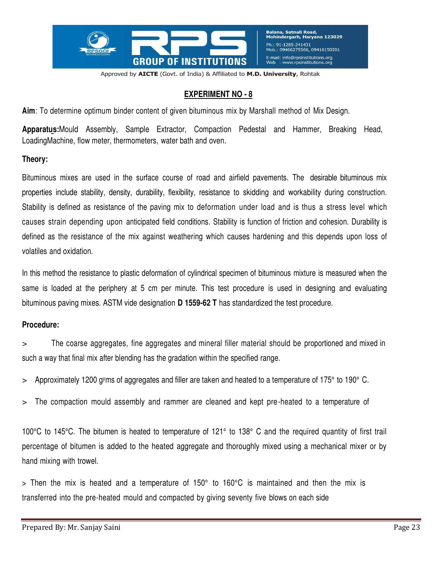

# **EXPERIMENT NO - 8**

**Aim**: To determine optimum binder content of given bituminous mix by Marshall method of Mix Design.

**Apparatus:**Mould Assembly, Sample Extractor, Compaction Pedestal and Hammer, Breaking Head, LoadingMachine, flow meter, thermometers, water bath and oven.

### **Theory:**

Bituminous mixes are used in the surface course of road and airfield pavements. The desirable bituminous mix properties include stability, density, durability, flexibility, resistance to skidding and workability during construction. Stability is defined as resistance of the paving mix to deformation under load and is thus a stress level which causes strain depending upon anticipated field conditions. Stability is function of friction and cohesion. Durability is defined as the resistance of the mix against weathering which causes hardening and this depends upon loss of volatiles and oxidation.

In this method the resistance to plastic deformation of cylindrical specimen of bituminous mixture is measured when the same is loaded at the periphery at 5 cm per minute. This test procedure is used in designing and evaluating bituminous paving mixes. ASTM vide designation **D 1559-62 T** has standardized the test procedure.

### **Procedure:**

> The coarse aggregates, fine aggregates and mineral filler material should be proportioned and mixed in such a way that final mix after blending has the gradation within the specified range.

- > Approximately 1200 g<sup>y</sup>ms of aggregates and filler are taken and heated to a temperature of 175° to 190° C.
- > The compaction mould assembly and rammer are cleaned and kept pre-heated to a temperature of

100°C to 145°C. The bitumen is heated to temperature of 121° to 138° C and the required quantity of first trail percentage of bitumen is added to the heated aggregate and thoroughly mixed using a mechanical mixer or by hand mixing with trowel.

> Then the mix is heated and a temperature of 150° to 160°C is maintained and then the mix is transferred into the pre-heated mould and compacted by giving seventy five blows on each side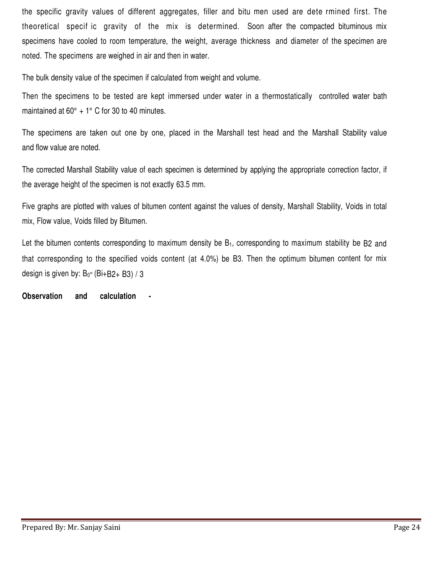the specific gravity values of different aggregates, filler and bitu men used are dete rmined first. The theoretical specif ic gravity of the mix is determined. Soon after the compacted bituminous mix specimens have cooled to room temperature, the weight, average thickness and diameter of the specimen are noted. The specimens are weighed in air and then in water.

The bulk density value of the specimen if calculated from weight and volume.

Then the specimens to be tested are kept immersed under water in a thermostatically controlled water bath maintained at  $60^\circ$  + 1° C for 30 to 40 minutes.

The specimens are taken out one by one, placed in the Marshall test head and the Marshall Stability value and flow value are noted.

The corrected Marshall Stability value of each specimen is determined by applying the appropriate correction factor, if the average height of the specimen is not exactly 63.5 mm.

Five graphs are plotted with values of bitumen content against the values of density, Marshall Stability, Voids in total mix, Flow value, Voids filled by Bitumen.

Let the bitumen contents corresponding to maximum density be  $B_1$ , corresponding to maximum stability be B2 and that corresponding to the specified voids content (at 4.0%) be B3. Then the optimum bitumen content for mix design is given by: B<sup>0</sup> <sup>=</sup>(Bi+B2+ B3) / 3

**Observation** and calculation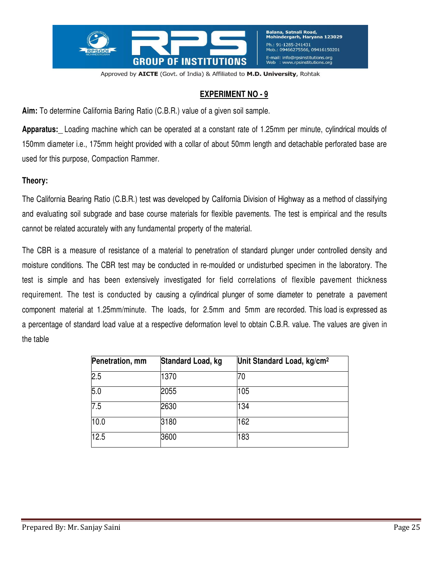

# **EXPERIMENT NO - 9**

**Aim:** To determine California Baring Ratio (C.B.R.) value of a given soil sample.

**Apparatus:** Loading machine which can be operated at a constant rate of 1.25mm per minute, cylindrical moulds of 150mm diameter i.e., 175mm height provided with a collar of about 50mm length and detachable perforated base are used for this purpose, Compaction Rammer.

### **Theory:**

The California Bearing Ratio (C.B.R.) test was developed by California Division of Highway as a method of classifying and evaluating soil subgrade and base course materials for flexible pavements. The test is empirical and the results cannot be related accurately with any fundamental property of the material.

The CBR is a measure of resistance of a material to penetration of standard plunger under controlled density and moisture conditions. The CBR test may be conducted in re-moulded or undisturbed specimen in the laboratory. The test is simple and has been extensively investigated for field correlations of flexible pavement thickness requirement. The test is conducted by causing a cylindrical plunger of some diameter to penetrate a pavement component material at 1.25mm/minute. The loads, for 2.5mm and 5mm are recorded. This load is expressed as a percentage of standard load value at a respective deformation level to obtain C.B.R. value. The values are given in the table

| Penetration, mm | Standard Load, kg | Unit Standard Load, kg/cm <sup>2</sup> |
|-----------------|-------------------|----------------------------------------|
| 2.5             | 1370              | 70                                     |
| 5.0             | 2055              | 105                                    |
| 7.5             | 2630              | 134                                    |
| 10.0            | 3180              | 162                                    |
| 12.5            | 3600              | 183                                    |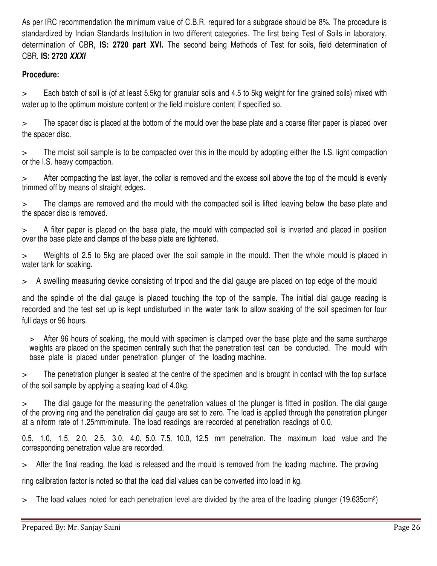As per IRC recommendation the minimum value of C.B.R. required for a subgrade should be 8%. The procedure is standardized by Indian Standards Institution in two different categories. The first being Test of Soils in laboratory, determination of CBR, **IS: 2720 part XVI.** The second being Methods of Test for soils, field determination of CBR, **IS: 2720** *XXXI*

# **Procedure:**

> Each batch of soil is (of at least 5.5kg for granular soils and 4.5 to 5kg weight for fine grained soils) mixed with water up to the optimum moisture content or the field moisture content if specified so.

> The spacer disc is placed at the bottom of the mould over the base plate and a coarse filter paper is placed over the spacer disc.

> The moist soil sample is to be compacted over this in the mould by adopting either the I.S. light compaction or the I.S. heavy compaction.

After compacting the last layer, the collar is removed and the excess soil above the top of the mould is evenly trimmed off by means of straight edges.

> The clamps are removed and the mould with the compacted soil is lifted leaving below the base plate and the spacer disc is removed.

> A filter paper is placed on the base plate, the mould with compacted soil is inverted and placed in position over the base plate and clamps of the base plate are tightened.

> Weights of 2.5 to 5kg are placed over the soil sample in the mould. Then the whole mould is placed in water tank for soaking.

> A swelling measuring device consisting of tripod and the dial gauge are placed on top edge of the mould

and the spindle of the dial gauge is placed touching the top of the sample. The initial dial gauge reading is recorded and the test set up is kept undisturbed in the water tank to allow soaking of the soil specimen for four full days or 96 hours.

> After 96 hours of soaking, the mould with specimen is clamped over the base plate and the same surcharge weights are placed on the specimen centrally such that the penetration test can be conducted. The mould with base plate is placed under penetration plunger of the loading machine.

> The penetration plunger is seated at the centre of the specimen and is brought in contact with the top surface of the soil sample by applying a seating load of 4.0kg.

> The dial gauge for the measuring the penetration values of the plunger is fitted in position. The dial gauge of the proving ring and the penetration dial gauge are set to zero. The load is applied through the penetration plunger at a niform rate of 1.25mm/minute. The load readings are recorded at penetration readings of 0.0,

0.5, 1.0, 1.5, 2.0, 2.5, 3.0, 4.0, 5.0, 7.5, 10.0, 12.5 mm penetration. The maximum load value and the corresponding penetration value are recorded.

> After the final reading, the load is released and the mould is removed from the loading machine. The proving

ring calibration factor is noted so that the load dial values can be converted into load in kg.

> The load values noted for each penetration level are divided by the area of the loading plunger (19.635cm2)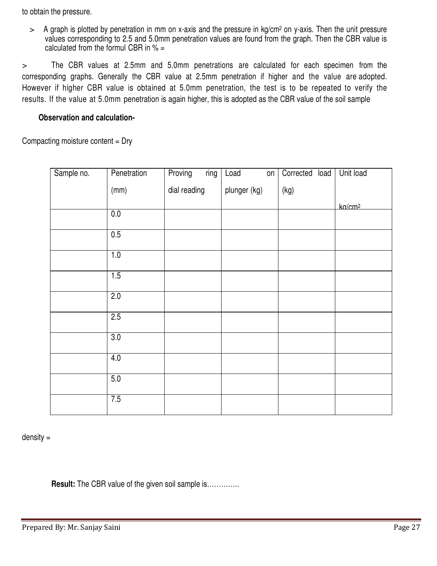to obtain the pressure.

 $>$  A graph is plotted by penetration in mm on x-axis and the pressure in kg/cm<sup>2</sup> on y-axis. Then the unit pressure values corresponding to 2.5 and 5.0mm penetration values are found from the graph. Then the CBR value is calculated from the formul CBR in  $% =$ 

> The CBR values at 2.5mm and 5.0mm penetrations are calculated for each specimen from the corresponding graphs. Generally the CBR value at 2.5mm penetration if higher and the value are adopted. However if higher CBR value is obtained at 5.0mm penetration, the test is to be repeated to verify the results. If the value at 5.0mm penetration is again higher, this is adopted as the CBR value of the soil sample

### **Observation and calculation-**

Compacting moisture content = Dry

| Sample no. | Penetration      | Proving      | ring | Load         | on | Corrected | load | Unit load          |
|------------|------------------|--------------|------|--------------|----|-----------|------|--------------------|
|            | (mm)             | dial reading |      | plunger (kg) |    | (kg)      |      |                    |
|            |                  |              |      |              |    |           |      | kn/cm <sup>2</sup> |
|            | 0.0              |              |      |              |    |           |      |                    |
|            | 0.5              |              |      |              |    |           |      |                    |
|            | 1.0              |              |      |              |    |           |      |                    |
|            | 1.5              |              |      |              |    |           |      |                    |
|            | 2.0              |              |      |              |    |           |      |                    |
|            | 2.5              |              |      |              |    |           |      |                    |
|            | $\overline{3.0}$ |              |      |              |    |           |      |                    |
|            | 4.0              |              |      |              |    |           |      |                    |
|            | 5.0              |              |      |              |    |           |      |                    |
|            | 7.5              |              |      |              |    |           |      |                    |

density =

**Result:** The CBR value of the given soil sample is..............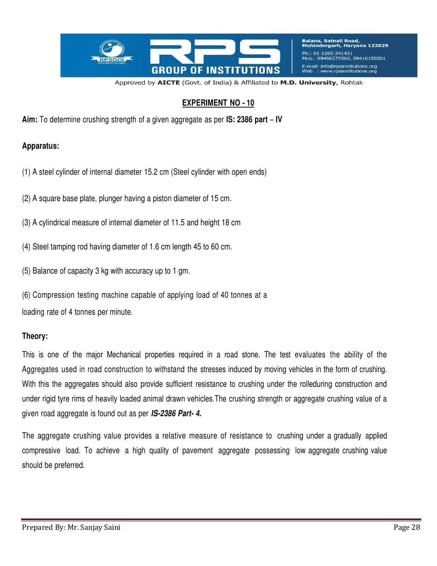

Balana, Satnali Road, Mohindergarh, Haryana 123029 Ph.: 91-1285-241431 Mob.: 09466275566, 09416150201 E-mail: info@rpsinstitutions.org www.rpsinstitutions.org

Approved by AICTE (Govt. of India) & Affiliated to M.D. University, Rohtak

### **EXPERIMENT NO - 10**

**Aim:** To determine crushing strength of a given aggregate as per **IS: 2386 part** – **IV**

#### **Apparatus:**

- (1) A steel cylinder of internal diameter 15.2 cm (Steel cylinder with open ends)
- (2) A square base plate, plunger having a piston diameter of 15 cm.
- (3) A cylindrical measure of internal diameter of 11.5 and height 18 cm
- (4) Steel tamping rod having diameter of 1.6 cm length 45 to 60 cm.
- (5) Balance of capacity 3 kg with accuracy up to 1 gm.
- (6) Compression testing machine capable of applying load of 40 tonnes at a

loading rate of 4 tonnes per minute.

### **Theory:**

This is one of the major Mechanical properties required in a road stone. The test evaluates the ability of the Aggregates used in road construction to withstand the stresses induced by moving vehicles in the form of crushing. With this the aggregates should also provide sufficient resistance to crushing under the rolleduring construction and under rigid tyre rims of heavily loaded animal drawn vehicles.The crushing strength or aggregate crushing value of a given road aggregate is found out as per *IS-2386 Part- 4.*

The aggregate crushing value provides a relative measure of resistance to crushing under a gradually applied compressive load. To achieve a high quality of pavement aggregate possessing low aggregate crushing value should be preferred.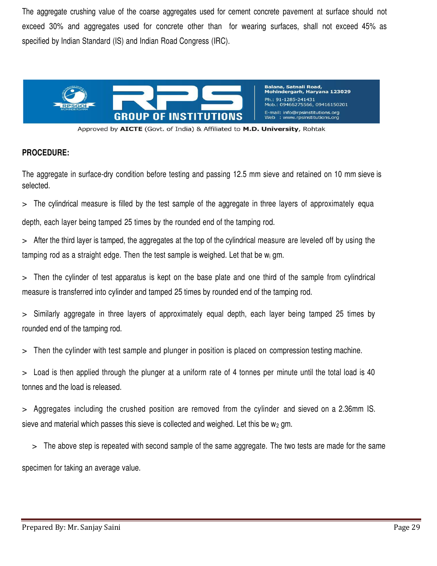The aggregate crushing value of the coarse aggregates used for cement concrete pavement at surface should not exceed 30% and aggregates used for concrete other than for wearing surfaces, shall not exceed 45% as specified by Indian Standard (IS) and Indian Road Congress (IRC).



Approved by AICTE (Govt. of India) & Affiliated to M.D. University, Rohtak

### **PROCEDURE:**

The aggregate in surface-dry condition before testing and passing 12.5 mm sieve and retained on 10 mm sieve is selected.

> The cylindrical measure is filled by the test sample of the aggregate in three layers of approximately equa depth, each layer being tamped 25 times by the rounded end of the tamping rod.

> After the third layer is tamped, the aggregates at the top of the cylindrical measure are leveled off by using the tamping rod as a straight edge. Then the test sample is weighed. Let that be  $w_i$  gm.

> Then the cylinder of test apparatus is kept on the base plate and one third of the sample from cylindrical measure is transferred into cylinder and tamped 25 times by rounded end of the tamping rod.

> Similarly aggregate in three layers of approximately equal depth, each layer being tamped 25 times by rounded end of the tamping rod.

> Then the cylinder with test sample and plunger in position is placed on compression testing machine.

> Load is then applied through the plunger at a uniform rate of 4 tonnes per minute until the total load is 40 tonnes and the load is released.

> Aggregates including the crushed position are removed from the cylinder and sieved on a 2.36mm IS. sieve and material which passes this sieve is collected and weighed. Let this be  $w_2$  gm.

> The above step is repeated with second sample of the same aggregate. The two tests are made for the same

specimen for taking an average value.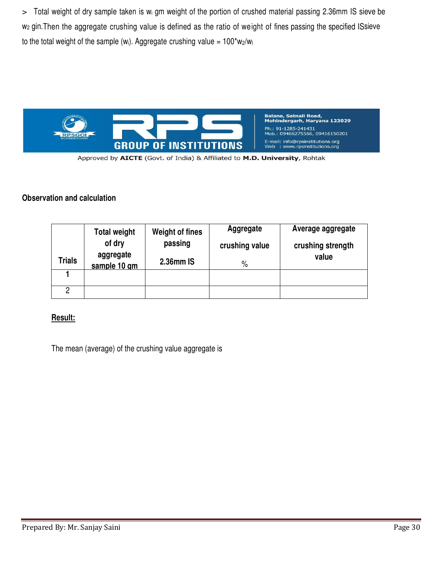> Total weight of dry sample taken is wi gm weight of the portion of crushed material passing 2.36mm IS sieve be w<sub>2</sub> gin. Then the aggregate crushing value is defined as the ratio of weight of fines passing the specified ISsieve to the total weight of the sample (w<sub>i</sub>). Aggregate crushing value =  $100*w_2/w_1$ 



Approved by AICTE (Govt. of India) & Affiliated to M.D. University, Rohtak

### **Observation and calculation**

|               | <b>Total weight</b><br>of dry | <b>Weight of fines</b><br>passing | Aggregate<br>crushing value | Average aggregate<br>crushing strength |  |  |
|---------------|-------------------------------|-----------------------------------|-----------------------------|----------------------------------------|--|--|
| <b>Trials</b> | aggregate<br>sample 10 gm     | 2.36mm IS                         | $\%$                        | value                                  |  |  |
|               |                               |                                   |                             |                                        |  |  |
|               |                               |                                   |                             |                                        |  |  |

# **Result:**

The mean (average) of the crushing value aggregate is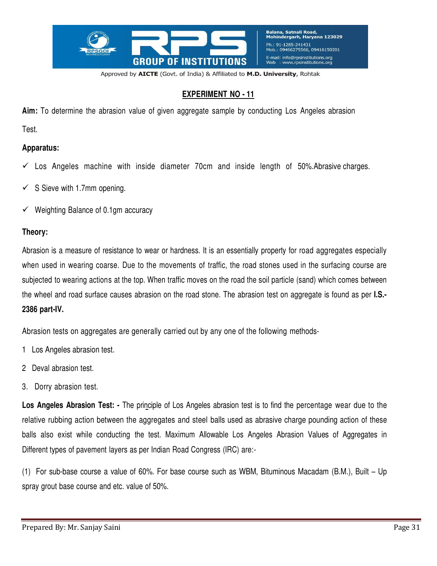

# **EXPERIMENT NO - 11**

**Aim:** To determine the abrasion value of given aggregate sample by conducting Los Angeles abrasion

Test.

### **Apparatus:**

- $\checkmark$  Los Angeles machine with inside diameter 70cm and inside length of 50%. Abrasive charges.
- $\checkmark$  S Sieve with 1.7mm opening.
- $\checkmark$  Weighting Balance of 0.1gm accuracy

### **Theory:**

Abrasion is a measure of resistance to wear or hardness. It is an essentially property for road aggregates especially when used in wearing coarse. Due to the movements of traffic, the road stones used in the surfacing course are subjected to wearing actions at the top. When traffic moves on the road the soil particle (sand) which comes between the wheel and road surface causes abrasion on the road stone. The abrasion test on aggregate is found as per **I.S.- 2386 part-IV.**

Abrasion tests on aggregates are generally carried out by any one of the following methods-

- 1 Los Angeles abrasion test.
- 2 Deval abrasion test.
- 3. Dorry abrasion test.

**Los Angeles Abrasion Test: -** The principle of Los Angeles abrasion test is to find the percentage wear due to the relative rubbing action between the aggregates and steel balls used as abrasive charge pounding action of these balls also exist while conducting the test. Maximum Allowable Los Angeles Abrasion Values of Aggregates in Different types of pavement layers as per Indian Road Congress (IRC) are:-

(1) For sub-base course a value of 60%. For base course such as WBM, Bituminous Macadam (B.M.), Built – Up spray grout base course and etc. value of 50%.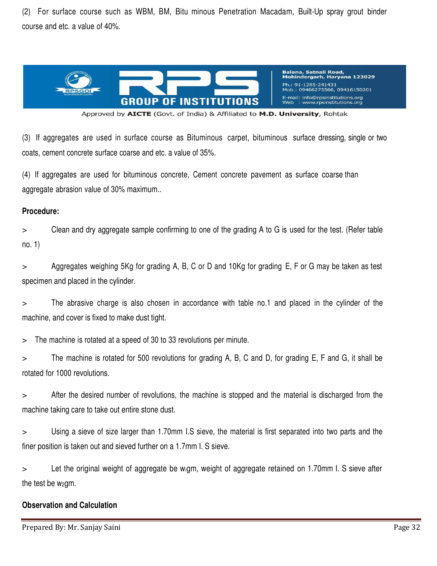(2) For surface course such as WBM, BM, Bitu minous Penetration Macadam, Built-Up spray grout binder course and etc. a value of 40%.



Approved by AICTE (Govt. of India) & Affiliated to M.D. University, Rohtak

(3) If aggregates are used in surface course as Bituminous carpet, bituminous surface dressing, single or two coats, cement concrete surface coarse and etc. a value of 35%.

(4) If aggregates are used for bituminous concrete, Cement concrete pavement as surface coarse than aggregate abrasion value of 30% maximum..

#### **Procedure:**

> Clean and dry aggregate sample confirming to one of the grading A to G is used for the test. (Refer table no. 1)

> Aggregates weighing 5Kg for grading A, B, C or D and 10Kg for grading E, F or G may be taken as test specimen and placed in the cylinder.

> The abrasive charge is also chosen in accordance with table no.1 and placed in the cylinder of the machine, and cover is fixed to make dust tight.

> The machine is rotated at a speed of 30 to 33 revolutions per minute.

> The machine is rotated for 500 revolutions for grading A, B, C and D, for grading E, F and G, it shall be rotated for 1000 revolutions.

> After the desired number of revolutions, the machine is stopped and the material is discharged from the machine taking care to take out entire stone dust.

> Using a sieve of size larger than 1.70mm I.S sieve, the material is first separated into two parts and the finer position is taken out and sieved further on a 1.7mm I. S sieve.

> Let the original weight of aggregate be wigm, weight of aggregate retained on 1.70mm I. S sieve after the test be  $w_2$ gm.

#### **Observation and Calculation**

Prepared By: Mr. Sanjay Saini Page 32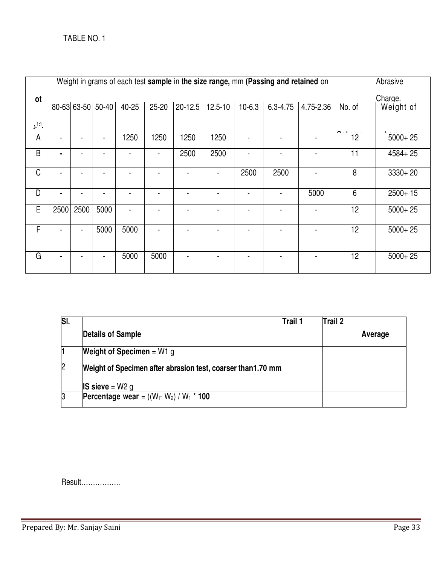|                | Weight in grams of each test sample in the size range, mm (Passing and retained on |                |                   |       |           |             |         |          |              | Abrasive  |        |             |
|----------------|------------------------------------------------------------------------------------|----------------|-------------------|-------|-----------|-------------|---------|----------|--------------|-----------|--------|-------------|
| ot             |                                                                                    |                |                   |       |           |             |         |          |              |           |        | Charge.     |
|                |                                                                                    |                | 80-63 63-50 50-40 | 40-25 | $25 - 20$ | $20 - 12.5$ | 12.5-10 | $10-6.3$ | $6.3 - 4.75$ | 4.75-2.36 | No. of | Weight of   |
| 0.1:1          |                                                                                    |                |                   |       |           |             |         |          |              |           |        |             |
| A              |                                                                                    |                |                   | 1250  | 1250      | 1250        | 1250    |          |              |           | 12     | $5000 + 25$ |
| $\overline{B}$ | ۰                                                                                  |                |                   |       |           | 2500        | 2500    |          |              |           | 11     | $4584 + 25$ |
| C              |                                                                                    |                |                   |       |           |             |         | 2500     | 2500         |           | 8      | $3330 + 20$ |
| D              | ۰                                                                                  |                |                   |       |           |             |         |          |              | 5000      | 6      | $2500+15$   |
| E              | 2500                                                                               | 2500           | 5000              |       |           |             |         |          |              |           | 12     | $5000 + 25$ |
| $\overline{F}$ | ÷                                                                                  | $\blacksquare$ | 5000              | 5000  |           |             |         |          |              |           | 12     | $5000 + 25$ |
| G              | ٠                                                                                  |                |                   | 5000  | 5000      |             |         |          |              |           | 12     | $5000 + 25$ |

| $\overline{\mathsf{SI}}$ . |                                                             | Trail 1 | Trail 2 |         |
|----------------------------|-------------------------------------------------------------|---------|---------|---------|
|                            | <b>Details of Sample</b>                                    |         |         | Average |
|                            | <b>Weight of Specimen</b> = $W1$ g                          |         |         |         |
| $\overline{2}$             | Weight of Specimen after abrasion test, coarser than1.70 mm |         |         |         |
|                            | <b>IS sieve</b> = $W2$ g                                    |         |         |         |
| S,                         | <b>Percentage wear</b> = $((W_1-W_2) / W_1 * 100)$          |         |         |         |

Result……………..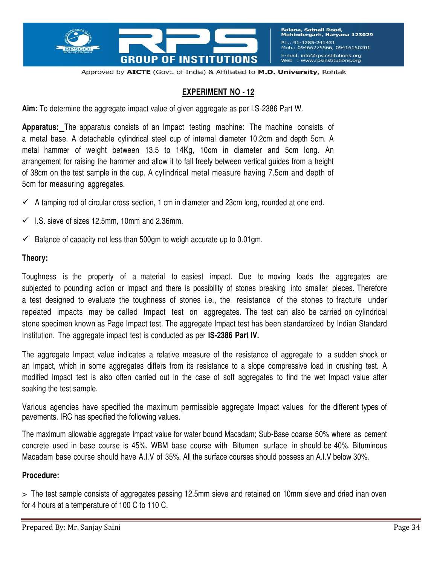

Balana, Satnali Road,<br>Mohindergarh, Haryana 123029 Ph.: 91-1285-241431 Mob.: 09466275566, 09416150201 E-mail: info@rpsinstitutions.org  $W_{\text{F}}$ : www.rpsinstitutions.or

Approved by AICTE (Govt. of India) & Affiliated to M.D. University, Rohtak

### **EXPERIMENT NO - 12**

**Aim:** To determine the aggregate impact value of given aggregate as per I.S-2386 Part W.

**Apparatus:** The apparatus consists of an Impact testing machine: The machine consists of a metal base. A detachable cylindrical steel cup of internal diameter 10.2cm and depth 5cm. A metal hammer of weight between 13.5 to 14Kg, 10cm in diameter and 5cm long. An arrangement for raising the hammer and allow it to fall freely between vertical guides from a height of 38cm on the test sample in the cup. A cylindrical metal measure having 7.5cm and depth of 5cm for measuring aggregates.

- $\checkmark$  A tamping rod of circular cross section, 1 cm in diameter and 23cm long, rounded at one end.
- $\checkmark$  I.S. sieve of sizes 12.5mm, 10mm and 2.36mm.
- $\checkmark$  Balance of capacity not less than 500gm to weigh accurate up to 0.01gm.

#### **Theory:**

Toughness is the property of a material to easiest impact. Due to moving loads the aggregates are subjected to pounding action or impact and there is possibility of stones breaking into smaller pieces. Therefore a test designed to evaluate the toughness of stones i.e., the resistance of the stones to fracture under repeated impacts may be called Impact test on aggregates. The test can also be carried on cylindrical stone specimen known as Page Impact test. The aggregate Impact test has been standardized by Indian Standard Institution. The aggregate impact test is conducted as per **IS-2386 Part IV.**

The aggregate Impact value indicates a relative measure of the resistance of aggregate to a sudden shock or an Impact, which in some aggregates differs from its resistance to a slope compressive load in crushing test. A modified Impact test is also often carried out in the case of soft aggregates to find the wet Impact value after soaking the test sample.

Various agencies have specified the maximum permissible aggregate Impact values for the different types of pavements. IRC has specified the following values.

The maximum allowable aggregate Impact value for water bound Macadam; Sub-Base coarse 50% where as cement concrete used in base course is 45%. WBM base course with Bitumen surface in should be 40%. Bituminous Macadam base course should have A.I.V of 35%. All the surface courses should possess an A.I.V below 30%.

### **Procedure:**

> The test sample consists of aggregates passing 12.5mm sieve and retained on 10mm sieve and dried inan oven for 4 hours at a temperature of 100 C to 110 C.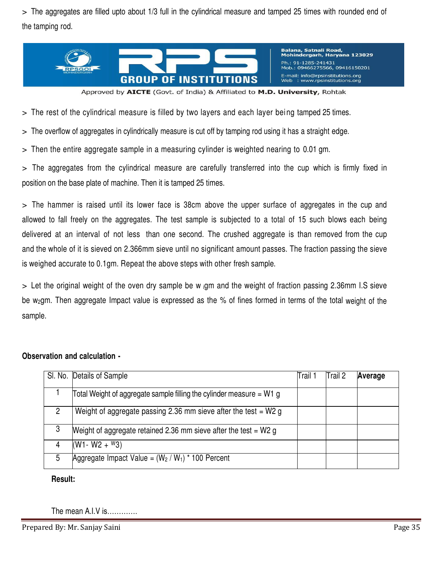> The aggregates are filled upto about 1/3 full in the cylindrical measure and tamped 25 times with rounded end of the tamping rod.



Balana, Satnali Road,<br>Mohindergarh, Haryana 123029 Ph.: 91-1285-241431 b.: 09466275566, 09416150201 E-mail: info@rpsinstitutions.org : www.rpsinstitutions.org Web

Approved by AICTE (Govt. of India) & Affiliated to M.D. University, Rohtak

> The rest of the cylindrical measure is filled by two layers and each layer bei ng tamped 25 times.

> The overflow of aggregates in cylindrically measure is cut off by tamping rod using it has a straight edge.

> Then the entire aggregate sample in a measuring cylinder is weighted nearing to 0.01 gm.

> The aggregates from the cylindrical measure are carefully transferred into the cup which is firmly fixed in position on the base plate of machine. Then it is tamped 25 times.

> The hammer is raised until its lower face is 38cm above the upper surface of aggregates in the cup and allowed to fall freely on the aggregates. The test sample is subjected to a total of 15 such blows each being delivered at an interval of not less than one second. The crushed aggregate is than removed from the cup and the whole of it is sieved on 2.366mm sieve until no significant amount passes. The fraction passing the sieve is weighed accurate to 0.1gm. Repeat the above steps with other fresh sample.

> Let the original weight of the oven dry sample be w <sup>i</sup>gm and the weight of fraction passing 2.36mm I.S sieve be w<sub>2</sub>gm. Then aggregate Impact value is expressed as the % of fines formed in terms of the total weight of the sample.

### **Observation and calculation -**

|   | SI. No. Details of Sample                                            | Trail 1 | Trail 2 | Average |
|---|----------------------------------------------------------------------|---------|---------|---------|
|   | Total Weight of aggregate sample filling the cylinder measure = W1 g |         |         |         |
| 2 | Weight of aggregate passing 2.36 mm sieve after the test = $W2g$     |         |         |         |
| 3 | Weight of aggregate retained 2.36 mm sieve after the test $= W2$ g   |         |         |         |
| 4 | $(W1 - W2 + W3)$                                                     |         |         |         |
| 5 | Aggregate Impact Value = $(W_2 / W_1)$ * 100 Percent                 |         |         |         |

### **Result:**

The mean A.I.V is………….

Prepared By: Mr. Sanjay Saini Page 35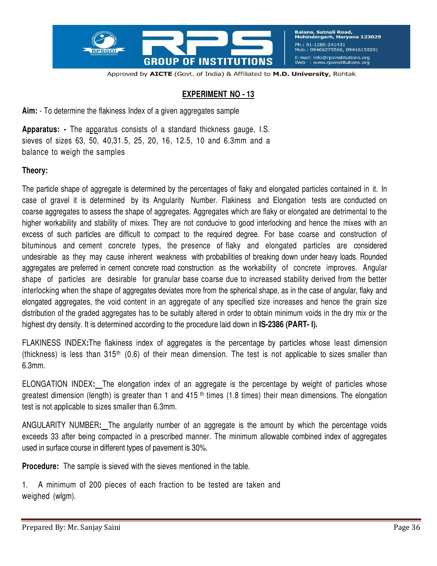

Balana, Satnali Road,<br>Mohindergarh, Haryana 123029 Ph.: 91-1285-241431 Mob.: 09466275566, 09416150201 E-mail: info@rpsinstitutions.org<br>Web : www.rpsinstitutions.org

Approved by AICTE (Govt. of India) & Affiliated to M.D. University, Rohtak

### **EXPERIMENT NO - 13**

**Aim:** - To determine the flakiness Index of a given aggregates sample

**Apparatus: -** The apparatus consists of a standard thickness gauge, I.S. sieves of sizes 63, 50, 40,31.5, 25, 20, 16, 12.5, 10 and 6.3mm and a balance to weigh the samples

#### **Theory:**

The particle shape of aggregate is determined by the percentages of flaky and elongated particles contained in it. In case of gravel it is determined by its Angularity Number. Flakiness and Elongation tests are conducted on coarse aggregates to assess the shape of aggregates. Aggregates which are flaky or elongated are detrimental to the higher workability and stability of mixes. They are not conducive to good interlocking and hence the mixes with an excess of such particles are difficult to compact to the required degree. For base coarse and construction of bituminous and cement concrete types, the presence of flaky and elongated particles are considered undesirable as they may cause inherent weakness with probabilities of breaking down under heavy loads. Rounded aggregates are preferred in cement concrete road construction as the workability of concrete improves. Angular shape of particles are desirable for granular base coarse due to increased stability derived from the better interlocking when the shape of aggregates deviates more from the spherical shape, as in the case of angular, flaky and elongated aggregates, the void content in an aggregate of any specified size increases and hence the grain size distribution of the graded aggregates has to be suitably altered in order to obtain minimum voids in the dry mix or the highest dry density. It is determined according to the procedure laid down in **IS-2386 (PART- I).**

FLAKINESS INDEX**:**The flakiness index of aggregates is the percentage by particles whose least dimension (thickness) is less than 315th (0.6) of their mean dimension. The test is not applicable to sizes smaller than 6.3mm.

ELONGATION INDEX**:** The elongation index of an aggregate is the percentage by weight of particles whose greatest dimension (length) is greater than 1 and 415<sup>th</sup> times (1.8 times) their mean dimensions. The elongation test is not applicable to sizes smaller than 6.3mm.

ANGULARITY NUMBER**:** The angularity number of an aggregate is the amount by which the percentage voids exceeds 33 after being compacted in a prescribed manner. The minimum allowable combined index of aggregates used in surface course in different types of pavement is 30%.

**Procedure:** The sample is sieved with the sieves mentioned in the table.

1. A minimum of 200 pieces of each fraction to be tested are taken and weighed (wlgm).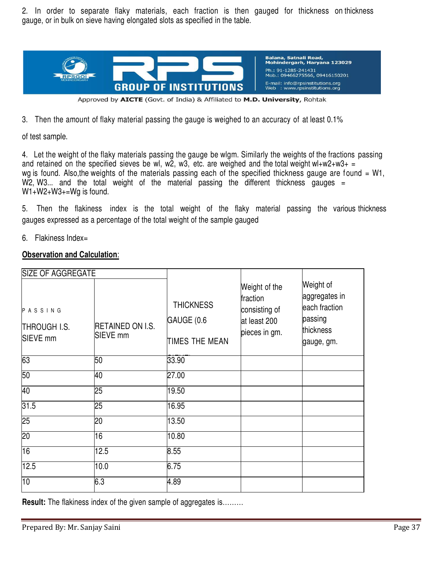2. In order to separate flaky materials, each fraction is then gauged for thickness on thickness gauge, or in bulk on sieve having elongated slots as specified in the table.



Approved by AICTE (Govt. of India) & Affiliated to M.D. University, Rohtak

3. Then the amount of flaky material passing the gauge is weighed to an accuracy of at least 0.1%

of test sample.

4. Let the weight of the flaky materials passing the gauge be wlgm. Similarly the weights of the fractions passing and retained on the specified sieves be wl, w2, w3, etc. are weighed and the total weight wl+w2+w3+ = wg is found. Also, the weights of the materials passing each of the specified thickness gauge are found = W1,  $W2$ , W3... and the total weight of the material passing the different thickness gauges = W1+W2+W3+=Wg is found.

5. Then the flakiness index is the total weight of the flaky material passing the various thickness gauges expressed as a percentage of the total weight of the sample gauged

6. Flakiness Index=

### **Observation and Calculation**:

| <b>SIZE OF AGGREGATE</b>                              |                                     |                                                  |                                                                             |                                                                                   |
|-------------------------------------------------------|-------------------------------------|--------------------------------------------------|-----------------------------------------------------------------------------|-----------------------------------------------------------------------------------|
| PASSING<br><b>THROUGH I.S.</b><br>SIEVE <sub>mm</sub> | <b>RETAINED ON I.S.</b><br>SIEVE mm | <b>THICKNESS</b><br>GAUGE (0.6<br>TIMES THE MEAN | Weight of the<br>fraction<br>consisting of<br>at least 200<br>pieces in gm. | Weight of<br>aggregates in<br>each fraction<br>passing<br>thickness<br>gauge, gm. |
| 63                                                    | 50                                  | 33.90                                            |                                                                             |                                                                                   |
| 50                                                    | 40                                  | 27.00                                            |                                                                             |                                                                                   |
| 40                                                    | 25                                  | 19.50                                            |                                                                             |                                                                                   |
| 31.5                                                  | 25                                  | 16.95                                            |                                                                             |                                                                                   |
| 25                                                    | 20                                  | 13.50                                            |                                                                             |                                                                                   |
| 20                                                    | 16                                  | 10.80                                            |                                                                             |                                                                                   |
| 16                                                    | 12.5                                | 8.55                                             |                                                                             |                                                                                   |
| 12.5                                                  | 10.0                                | 6.75                                             |                                                                             |                                                                                   |
| 10                                                    | 6.3                                 | 4.89                                             |                                                                             |                                                                                   |

**Result:** The flakiness index of the given sample of aggregates is.........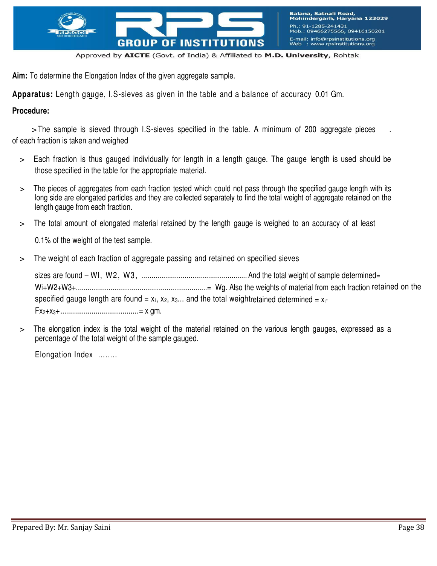

**Aim:** To determine the Elongation Index of the given aggregate sample.

**Apparatus:** Length gauge, I.S-sieves as given in the table and a balance of accuracy 0.01 Gm.

### **Procedure:**

> The sample is sieved through I.S-sieves specified in the table. A minimum of 200 aggregate pieces of each fraction is taken and weighed

- > Each fraction is thus gauged individually for length in a length gauge. The gauge length is used should be those specified in the table for the appropriate material.
- > The pieces of aggregates from each fraction tested which could not pass through the specified gauge length with its long side are elongated particles and they are collected separately to find the total weight of aggregate retained on the length gauge from each fraction.
- > The total amount of elongated material retained by the length gauge is weighed to an accuracy of at least

0.1% of the weight of the test sample.

> The weight of each fraction of aggregate passing and retained on specified sieves

sizes are found – Wl, W2, W3, ......................................................And the total weight of sample determined= Wi+W2+W3+....................................................................= Wg. Also the weights of material from each fraction retained on the specified gauge length are found =  $x_i$ ,  $x_2$ ,  $x_3...$  and the total weightretained determined =  $x_i$ -Fx2+x3+........................................= x gm.

> The elongation index is the total weight of the material retained on the various length gauges, expressed as a percentage of the total weight of the sample gauged.

Elongation Index ……..